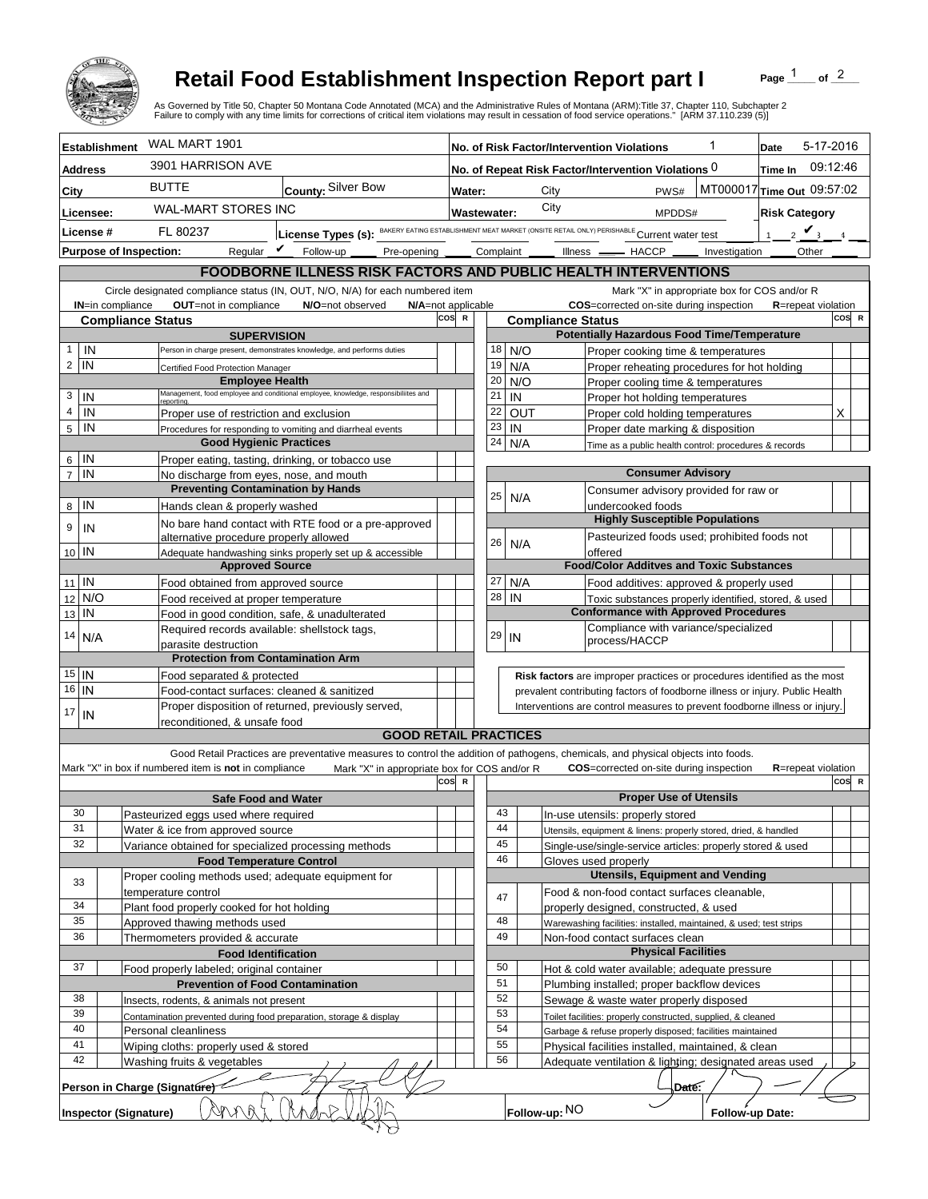

## **Retail Food Establishment Inspection Report part I**

Page  $\frac{1}{1}$  of  $\frac{2}{1}$ 

|                                                                                            |                                                                                             | <b>Retail Food Establishment Inspection Report part I</b><br>As Governed by Title 50, Chapter 50 Montana Code Annotated (MCA) and the Administrative Rules of Montana (ARM):Title 37, Chapter 110, Subchapter 2<br>Failure to comply with any time limits for corrections of critical item violations may result in cessation of food service operations." [ARM 37.110.239 (5)] |                                                                                                               |                                                                                                                                     |                                                                          |                                                                              |                                  | Page                       | of $2$ |  |  |
|--------------------------------------------------------------------------------------------|---------------------------------------------------------------------------------------------|---------------------------------------------------------------------------------------------------------------------------------------------------------------------------------------------------------------------------------------------------------------------------------------------------------------------------------------------------------------------------------|---------------------------------------------------------------------------------------------------------------|-------------------------------------------------------------------------------------------------------------------------------------|--------------------------------------------------------------------------|------------------------------------------------------------------------------|----------------------------------|----------------------------|--------|--|--|
| <b>Establishment</b>                                                                       | WAL MART 1901                                                                               | 1<br>No. of Risk Factor/Intervention Violations                                                                                                                                                                                                                                                                                                                                 |                                                                                                               |                                                                                                                                     |                                                                          |                                                                              | 5-17-2016<br>Date                |                            |        |  |  |
| <b>Address</b>                                                                             | 3901 HARRISON AVE                                                                           |                                                                                                                                                                                                                                                                                                                                                                                 | No. of Repeat Risk Factor/Intervention Violations 0                                                           |                                                                                                                                     |                                                                          |                                                                              | 09:12:46<br>Time In              |                            |        |  |  |
|                                                                                            | <b>BUTTE</b>                                                                                | County: Silver Bow                                                                                                                                                                                                                                                                                                                                                              |                                                                                                               |                                                                                                                                     | City                                                                     | PWS#                                                                         |                                  | MT000017 Time Out 09:57:02 |        |  |  |
| City                                                                                       | <b>WAL-MART STORES INC</b>                                                                  | Water:<br>City                                                                                                                                                                                                                                                                                                                                                                  |                                                                                                               |                                                                                                                                     |                                                                          |                                                                              |                                  |                            |        |  |  |
| Licensee:                                                                                  |                                                                                             |                                                                                                                                                                                                                                                                                                                                                                                 | <b>Wastewater:</b><br>MPDDS#                                                                                  |                                                                                                                                     |                                                                          |                                                                              | <b>Risk Category</b>             |                            |        |  |  |
| License #                                                                                  | FL 80237                                                                                    |                                                                                                                                                                                                                                                                                                                                                                                 | License Types (s): BAKERY EATING ESTABLISHMENT MEAT MARKET (ONSITE RETAIL ONLY) PERISHABLE Current water test |                                                                                                                                     |                                                                          |                                                                              | $2 \mathbf{V}$<br>1 <sup>1</sup> |                            |        |  |  |
| <b>Purpose of Inspection:</b>                                                              | Regular $\mathbf{\nu}$                                                                      | Follow-up<br>Pre-opening                                                                                                                                                                                                                                                                                                                                                        | Complaint                                                                                                     |                                                                                                                                     | $Ilness$ $-$                                                             | $-$ HACCP $-$                                                                | Investigation                    | Other                      |        |  |  |
|                                                                                            |                                                                                             | <b>FOODBORNE ILLNESS RISK FACTORS AND PUBLIC HEALTH INTERVENTIONS</b>                                                                                                                                                                                                                                                                                                           |                                                                                                               |                                                                                                                                     |                                                                          |                                                                              |                                  |                            |        |  |  |
|                                                                                            |                                                                                             | Circle designated compliance status (IN, OUT, N/O, N/A) for each numbered item                                                                                                                                                                                                                                                                                                  |                                                                                                               |                                                                                                                                     |                                                                          | Mark "X" in appropriate box for COS and/or R                                 |                                  |                            |        |  |  |
| OUT=not in compliance<br><b>IN=in compliance</b><br>N/O=not observed<br>N/A=not applicable |                                                                                             |                                                                                                                                                                                                                                                                                                                                                                                 |                                                                                                               |                                                                                                                                     |                                                                          | COS=corrected on-site during inspection                                      |                                  | <b>R</b> =repeat violation |        |  |  |
| <b>Compliance Status</b>                                                                   | cos<br>COS R<br>$\mathbb{R}$<br><b>Compliance Status</b>                                    |                                                                                                                                                                                                                                                                                                                                                                                 |                                                                                                               |                                                                                                                                     |                                                                          |                                                                              |                                  |                            |        |  |  |
| IN<br>$\mathbf{1}$                                                                         | <b>SUPERVISION</b><br>Person in charge present, demonstrates knowledge, and performs duties |                                                                                                                                                                                                                                                                                                                                                                                 |                                                                                                               | <b>Potentially Hazardous Food Time/Temperature</b><br>18<br>N/O<br>Proper cooking time & temperatures                               |                                                                          |                                                                              |                                  |                            |        |  |  |
| $\overline{2}$<br>IN                                                                       | Certified Food Protection Manager                                                           | 19                                                                                                                                                                                                                                                                                                                                                                              |                                                                                                               | N/A                                                                                                                                 | Proper reheating procedures for hot holding                              |                                                                              |                                  |                            |        |  |  |
|                                                                                            | <b>Employee Health</b>                                                                      | 20                                                                                                                                                                                                                                                                                                                                                                              |                                                                                                               | N/O                                                                                                                                 | Proper cooling time & temperatures                                       |                                                                              |                                  |                            |        |  |  |
| 3<br>IN                                                                                    | reportina.                                                                                  | Management, food employee and conditional employee, knowledge, responsibiliites and                                                                                                                                                                                                                                                                                             | 21                                                                                                            | IN                                                                                                                                  |                                                                          | Proper hot holding temperatures                                              |                                  |                            |        |  |  |
| $\overline{4}$<br>IN                                                                       | Proper use of restriction and exclusion                                                     |                                                                                                                                                                                                                                                                                                                                                                                 | 22                                                                                                            |                                                                                                                                     | <b>OUT</b>                                                               | Proper cold holding temperatures                                             |                                  |                            | X      |  |  |
| 5<br>IN                                                                                    |                                                                                             | Procedures for responding to vomiting and diarrheal events                                                                                                                                                                                                                                                                                                                      | 23                                                                                                            | IN                                                                                                                                  |                                                                          | Proper date marking & disposition                                            |                                  |                            |        |  |  |
|                                                                                            | <b>Good Hygienic Practices</b>                                                              |                                                                                                                                                                                                                                                                                                                                                                                 | 24                                                                                                            |                                                                                                                                     | N/A                                                                      | Time as a public health control: procedures & records                        |                                  |                            |        |  |  |
| IN<br>6                                                                                    | Proper eating, tasting, drinking, or tobacco use                                            |                                                                                                                                                                                                                                                                                                                                                                                 |                                                                                                               |                                                                                                                                     |                                                                          |                                                                              |                                  |                            |        |  |  |
| IN<br>$\overline{7}$                                                                       | No discharge from eyes, nose, and mouth                                                     |                                                                                                                                                                                                                                                                                                                                                                                 |                                                                                                               |                                                                                                                                     |                                                                          | <b>Consumer Advisory</b>                                                     |                                  |                            |        |  |  |
| IN                                                                                         | <b>Preventing Contamination by Hands</b>                                                    |                                                                                                                                                                                                                                                                                                                                                                                 | 25                                                                                                            |                                                                                                                                     | N/A                                                                      | Consumer advisory provided for raw or                                        |                                  |                            |        |  |  |
| 8                                                                                          | Hands clean & properly washed                                                               |                                                                                                                                                                                                                                                                                                                                                                                 |                                                                                                               |                                                                                                                                     |                                                                          | undercooked foods<br><b>Highly Susceptible Populations</b>                   |                                  |                            |        |  |  |
| 9<br>IN                                                                                    | alternative procedure properly allowed                                                      | No bare hand contact with RTE food or a pre-approved                                                                                                                                                                                                                                                                                                                            |                                                                                                               |                                                                                                                                     |                                                                          | Pasteurized foods used; prohibited foods not                                 |                                  |                            |        |  |  |
| 10 IN                                                                                      |                                                                                             | Adequate handwashing sinks properly set up & accessible                                                                                                                                                                                                                                                                                                                         | 26                                                                                                            |                                                                                                                                     | N/A                                                                      | offered                                                                      |                                  |                            |        |  |  |
|                                                                                            | <b>Approved Source</b>                                                                      |                                                                                                                                                                                                                                                                                                                                                                                 |                                                                                                               |                                                                                                                                     |                                                                          | <b>Food/Color Additves and Toxic Substances</b>                              |                                  |                            |        |  |  |
| $11$ IN                                                                                    | Food obtained from approved source                                                          |                                                                                                                                                                                                                                                                                                                                                                                 | 27                                                                                                            |                                                                                                                                     | N/A                                                                      | Food additives: approved & properly used                                     |                                  |                            |        |  |  |
| N/O<br>12                                                                                  | Food received at proper temperature                                                         |                                                                                                                                                                                                                                                                                                                                                                                 | 28                                                                                                            | IN                                                                                                                                  |                                                                          | Toxic substances properly identified, stored, & used                         |                                  |                            |        |  |  |
| IN<br>13                                                                                   | Food in good condition, safe, & unadulterated                                               |                                                                                                                                                                                                                                                                                                                                                                                 |                                                                                                               |                                                                                                                                     |                                                                          | <b>Conformance with Approved Procedures</b>                                  |                                  |                            |        |  |  |
| 14<br>N/A                                                                                  | Required records available: shellstock tags,                                                |                                                                                                                                                                                                                                                                                                                                                                                 | 29                                                                                                            | IN                                                                                                                                  |                                                                          | Compliance with variance/specialized<br>process/HACCP                        |                                  |                            |        |  |  |
|                                                                                            | parasite destruction<br><b>Protection from Contamination Arm</b>                            |                                                                                                                                                                                                                                                                                                                                                                                 |                                                                                                               |                                                                                                                                     |                                                                          |                                                                              |                                  |                            |        |  |  |
| $15$ IN                                                                                    |                                                                                             |                                                                                                                                                                                                                                                                                                                                                                                 |                                                                                                               |                                                                                                                                     | Risk factors are improper practices or procedures identified as the most |                                                                              |                                  |                            |        |  |  |
| $16$   IN                                                                                  | Food separated & protected<br>Food-contact surfaces: cleaned & sanitized                    |                                                                                                                                                                                                                                                                                                                                                                                 |                                                                                                               |                                                                                                                                     |                                                                          | prevalent contributing factors of foodborne illness or injury. Public Health |                                  |                            |        |  |  |
|                                                                                            | Proper disposition of returned, previously served,                                          |                                                                                                                                                                                                                                                                                                                                                                                 |                                                                                                               |                                                                                                                                     |                                                                          | Interventions are control measures to prevent foodborne illness or injury.   |                                  |                            |        |  |  |
| 17<br>IN                                                                                   | reconditioned. & unsafe food                                                                |                                                                                                                                                                                                                                                                                                                                                                                 |                                                                                                               |                                                                                                                                     |                                                                          |                                                                              |                                  |                            |        |  |  |
|                                                                                            |                                                                                             | <b>GOOD RETAIL PRACTICES</b>                                                                                                                                                                                                                                                                                                                                                    |                                                                                                               |                                                                                                                                     |                                                                          |                                                                              |                                  |                            |        |  |  |
|                                                                                            |                                                                                             | Good Retail Practices are preventative measures to control the addition of pathogens, chemicals, and physical objects into foods.                                                                                                                                                                                                                                               |                                                                                                               |                                                                                                                                     |                                                                          |                                                                              |                                  |                            |        |  |  |
|                                                                                            | Mark "X" in box if numbered item is not in compliance                                       | Mark "X" in appropriate box for COS and/or R                                                                                                                                                                                                                                                                                                                                    | cos<br>R                                                                                                      |                                                                                                                                     |                                                                          | <b>COS</b> =corrected on-site during inspection                              |                                  | <b>R</b> =repeat violation |        |  |  |
|                                                                                            |                                                                                             |                                                                                                                                                                                                                                                                                                                                                                                 |                                                                                                               |                                                                                                                                     |                                                                          | <b>Proper Use of Utensils</b>                                                |                                  |                            | COS R  |  |  |
| 30                                                                                         | <b>Safe Food and Water</b><br>Pasteurized eggs used where required                          |                                                                                                                                                                                                                                                                                                                                                                                 | 43                                                                                                            |                                                                                                                                     |                                                                          | In-use utensils: properly stored                                             |                                  |                            |        |  |  |
| 31                                                                                         | Water & ice from approved source                                                            |                                                                                                                                                                                                                                                                                                                                                                                 | 44                                                                                                            |                                                                                                                                     |                                                                          |                                                                              |                                  |                            |        |  |  |
| 32                                                                                         | Variance obtained for specialized processing methods                                        |                                                                                                                                                                                                                                                                                                                                                                                 |                                                                                                               | Utensils, equipment & linens: properly stored, dried, & handled<br>45<br>Single-use/single-service articles: properly stored & used |                                                                          |                                                                              |                                  |                            |        |  |  |
| <b>Food Temperature Control</b>                                                            |                                                                                             |                                                                                                                                                                                                                                                                                                                                                                                 | 46                                                                                                            |                                                                                                                                     |                                                                          | Gloves used properly                                                         |                                  |                            |        |  |  |
| 33                                                                                         | Proper cooling methods used; adequate equipment for                                         |                                                                                                                                                                                                                                                                                                                                                                                 |                                                                                                               |                                                                                                                                     |                                                                          | <b>Utensils, Equipment and Vending</b>                                       |                                  |                            |        |  |  |
|                                                                                            | temperature control                                                                         |                                                                                                                                                                                                                                                                                                                                                                                 | 47                                                                                                            |                                                                                                                                     |                                                                          | Food & non-food contact surfaces cleanable,                                  |                                  |                            |        |  |  |
| 34                                                                                         | Plant food properly cooked for hot holding                                                  |                                                                                                                                                                                                                                                                                                                                                                                 |                                                                                                               |                                                                                                                                     |                                                                          | properly designed, constructed, & used                                       |                                  |                            |        |  |  |
| 35                                                                                         | Approved thawing methods used                                                               |                                                                                                                                                                                                                                                                                                                                                                                 | 48                                                                                                            |                                                                                                                                     |                                                                          | Warewashing facilities: installed, maintained, & used; test strips           |                                  |                            |        |  |  |
| 36                                                                                         | Thermometers provided & accurate                                                            |                                                                                                                                                                                                                                                                                                                                                                                 |                                                                                                               | 49<br>Non-food contact surfaces clean<br><b>Physical Facilities</b>                                                                 |                                                                          |                                                                              |                                  |                            |        |  |  |
|                                                                                            | <b>Food Identification</b>                                                                  |                                                                                                                                                                                                                                                                                                                                                                                 |                                                                                                               |                                                                                                                                     |                                                                          |                                                                              |                                  |                            |        |  |  |
| 37                                                                                         | Food properly labeled; original container                                                   |                                                                                                                                                                                                                                                                                                                                                                                 |                                                                                                               | 50<br>Hot & cold water available; adequate pressure<br>51                                                                           |                                                                          |                                                                              |                                  |                            |        |  |  |
| 38                                                                                         | <b>Prevention of Food Contamination</b><br>Insects, rodents, & animals not present          |                                                                                                                                                                                                                                                                                                                                                                                 |                                                                                                               | Plumbing installed; proper backflow devices<br>52<br>Sewage & waste water properly disposed                                         |                                                                          |                                                                              |                                  |                            |        |  |  |
| 39                                                                                         |                                                                                             |                                                                                                                                                                                                                                                                                                                                                                                 |                                                                                                               | 53<br>Toilet facilities: properly constructed, supplied, & cleaned                                                                  |                                                                          |                                                                              |                                  |                            |        |  |  |
| 40                                                                                         | Contamination prevented during food preparation, storage & display<br>Personal cleanliness  |                                                                                                                                                                                                                                                                                                                                                                                 |                                                                                                               | 54<br>Garbage & refuse properly disposed; facilities maintained                                                                     |                                                                          |                                                                              |                                  |                            |        |  |  |
| 41                                                                                         | Wiping cloths: properly used & stored                                                       |                                                                                                                                                                                                                                                                                                                                                                                 | 55                                                                                                            |                                                                                                                                     |                                                                          | Physical facilities installed, maintained, & clean                           |                                  |                            |        |  |  |
| 42                                                                                         | Washing fruits & vegetables                                                                 |                                                                                                                                                                                                                                                                                                                                                                                 | 56                                                                                                            |                                                                                                                                     |                                                                          | Adequate ventilation & lighting; designated areas used                       |                                  |                            |        |  |  |
| Person in Charge (Signature)<br>D <del>a</del> te:                                         |                                                                                             |                                                                                                                                                                                                                                                                                                                                                                                 |                                                                                                               |                                                                                                                                     |                                                                          |                                                                              |                                  |                            |        |  |  |
| <b>Inspector (Signature)</b>                                                               |                                                                                             |                                                                                                                                                                                                                                                                                                                                                                                 |                                                                                                               |                                                                                                                                     | Follow-up: NO                                                            |                                                                              | Follow-up Date:                  |                            |        |  |  |